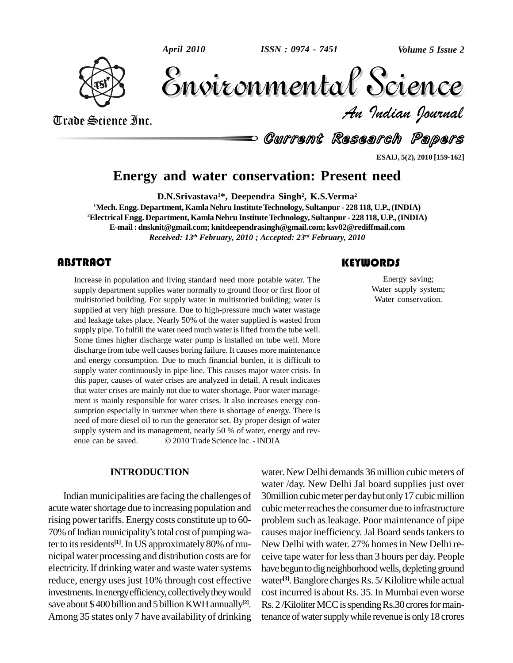

Trade Science Inc.

Trade Science Inc.

Volume 5 Issue 2 *Indian Journal* Volume 5 Issue 2

Current Research Papers

**ESAIJ, 5(2), 2010 [159-162]**

# **Energy and water conservation: Present need**

**D.N.Srivastava <sup>1</sup>\*, Deependra Singh 2 , K.S.Verma 2**

**<sup>1</sup>Mech.Engg. Department, Kamla Nehru InstituteTechnology, Sultanpur - 228 118, U.P.,(INDIA) <sup>2</sup>Electrical Engg. Department, Kamla Nehru InstituteTechnology, Sultanpur - 228 118,U.P.,(INDIA) E-mail : [dnsknit@gmail.com;](mailto:dnsknit@gmail.com;) [knitdeependrasingh@gmail.com;](mailto:knitdeependrasingh@gmail.com;) [ksv02@rediffmail.com](mailto:ksv02@rediffmail.com)** *Received: 13 th February, 2010 ; Accepted: 23 rd February, 2010*

# **ABSTRACT**

There are a population a<br>supply department suppl<br>multistoried building. For Increase in population and living standard need more potable water. The supply department supplies water normally to ground floor or first floor of multistoried building. For supply water in multistoried building; water is supplied at very high pressure. Due to high-pressure much water wastage and leakage takes place. Nearly 50% of the water supplied is wasted from supply pipe. To fulfill the water need much water is lifted from the tube well. Some times higher discharge water pump is installed on tube well. More discharge from tube well causes boring failure. It causes more maintenance and energy consumption. Due to much financial burden, it is difficult to supply water continuously in pipe line. This causes major water crisis. In this paper, causes of water crises are analyzed in detail. A result indicates that water crises are mainly not due to water shortage. Poor water manage ment is mainly responsible for water crises. It also increases energy con sumption especially in summer when there is shortage of energy. There is need of more diesel oil to run the generator set. By proper design of water<br>supply system and its management, nearly 50 % of water, energy and rev-<br>enue can be saved.  $\textcircled{2010}$  Trade Science Inc. - INDIA supply system and its management, nearly 50 % of water, energy and rev-

#### **INTRODUCTION**

Indian municipalities are facing the challenges of acute water shortage due to increasing population and rising power tariffs. Energy costs constitute up to 60- pro acute water shortage due to increasing population and<br>rising power tariffs. Energy costs constitute up to 60-<br>70% of Indian municipality's total cost of pumping water to its residents<sup>[1]</sup>. In US approximately 80% of mu- Nev nicipal water processing and distribution costs are for electricity. If drinking water and waste water systems reduce, energy uses just 10% through cost effective investments. In energy efficiency, collectively they would save about \$400 billion and 5 billion KWH annually<sup>[2]</sup>. Rs. 2 Among 35 states only 7 have availability of drinking

# **KEYWORDS**

Energy saving;<br>Water supply syste<br>Water conservation Energy saving; Water supply system; Water conservation.

water. New Delhi demands 36 million cubic meters of water /day. New Delhi Jal board supplies just over 30million cubic meter per day but only 17 cubic million cubic meter reaches the consumer due to infrastructure problem such as leakage. Poor maintenance of pipe causes major inefficiency. Jal Board sends tankers to New Delhi with water. 27% homes in New Delhi receive tape water for lessthan 3 hours per day. People have begun to dig neighborhood wells, depleting ground water<sup>[3]</sup>. Banglore charges Rs. 5/ Kilolitre while actual cost incurred is about Rs. 35. In Mumbai even worse Rs. 2/Kiloliter MCC is spending Rs. 30 crores for maintenance of water supply while revenue is only 18 crores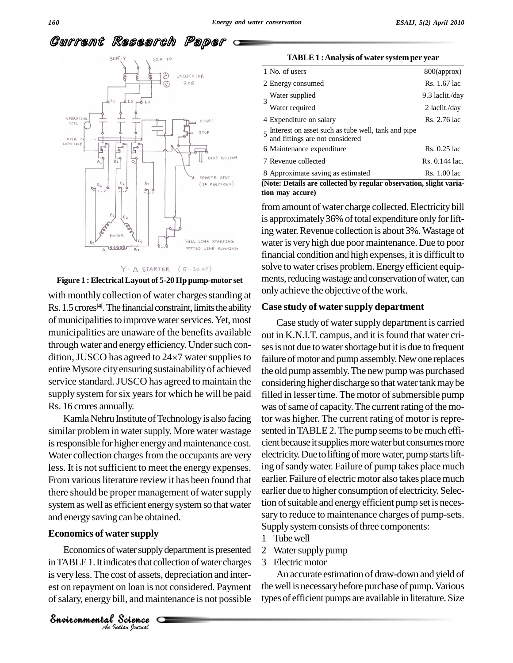# Current Research Paper





with monthly collection of water charges standing at Rs. 1.5 crores<sup>[4]</sup>. The financial constraint, limits the ability **Case s** of municipalities to improve water services. Yet, most municipalities are unaware of the benefits available out in I<br>through water and energy efficiency. Under such conses is n<br>dition, JUSCO has agreed to 24×7 water supplies to failure through water and energy efficiency. Under such conentire Mysore cityensuring sustainability of achieved service standard.JUSCO has agreed to maintain the supply system for six years for which he will be paid Rs. 16 crores annually.

Kamla Nehru Institute of Technology is also facing similar problem in water supply. More water wastage is responsible for higher energy and maintenance cost. Water collection charges from the occupants are very less. It is not sufficient to meet the energy expenses. From various literature review it has been found that there should be proper management of water supply system as well as efficient energy system so that water and energy saving can be obtained.

#### **Economics of water supply**

*Indian Journal*

*Andrew Charles Supply dependence presence* 2 Economics of water supply department is presented  $\overline{2}$  Wat water supply dep<br>cates that collectors of assets, dep<br>on loan is not c<br>ill, and mainter<br>Science is very less.The cost of assets, depreciation and inter est on repayment on loan is not considered. Payment ofsalary, energy bill, and maintenance is not possible

| TABLE 1 : Analysis of water system per year |  |  |
|---------------------------------------------|--|--|
|                                             |  |  |

| 1 No. of users                                                                            | 800(approx)     |
|-------------------------------------------------------------------------------------------|-----------------|
| 2 Energy consumed                                                                         | Rs. 1.67 lac    |
| Water supplied                                                                            | 9.3 laclit./day |
| Water required                                                                            | 2 laclit./day   |
| 4 Expenditure on salary                                                                   | Rs. 2.76 lac    |
| $5$ Interest on asset such as tube well, tank and pipe<br>and fittings are not considered |                 |
| 6 Maintenance expenditure                                                                 | Rs. 0.25 lac    |
| 7 Revenue collected                                                                       | Rs. 0.144 lac.  |
| 8 Approximate saving as estimated                                                         | Rs. 1.00 lac    |

**(Note: Details are collected by regular observation, slight variation may accure)**

from amount of water charge collected. Electricity bill is approximately 36% of total expenditure only for lifting water. Revenue collection is about 3%. Wastage of water is veryhigh due poor maintenance. Due to poor financial condition and high expenses, it is difficult to solve to water crises problem. Energyefficient equip ments, reducing wastage and conservation of water, can only achieve the objective of the work.

#### **Case study of water supply department**

Case study of water supply department is carried out in K.N.I.T. campus, and it is found that water crises is not due to water shortage but it is due to frequent failure of motor and pump assembly. New one replaces the old pump assembly. The new pump was purchased considering higher discharge so that water tank may be filled in lesser time. The motor of submersible pump was of same of capacity. The current rating of the motor was higher. The current rating of motor is repre sented in TABLE 2. The pump seems to be much efficient because it supplies more water but consumes more electricity. Due to lifting of more water, pump starts lifting of sandy water. Failure of pump takes place much earlier. Failure of electric motor also takes place much earlier due to higher consumption of electricity. Selection of suitable and energy efficient pump set is necessary to reduce to maintenance charges of pump-sets. Supply system consists of three components:

- 1 Tubewell
- 2 Water supply pump
- 3 Electricmotor

An accurate estimation of draw-down and yield of the well is necessary before purchase of pump. Various types of efficient pumps are available in literature. Size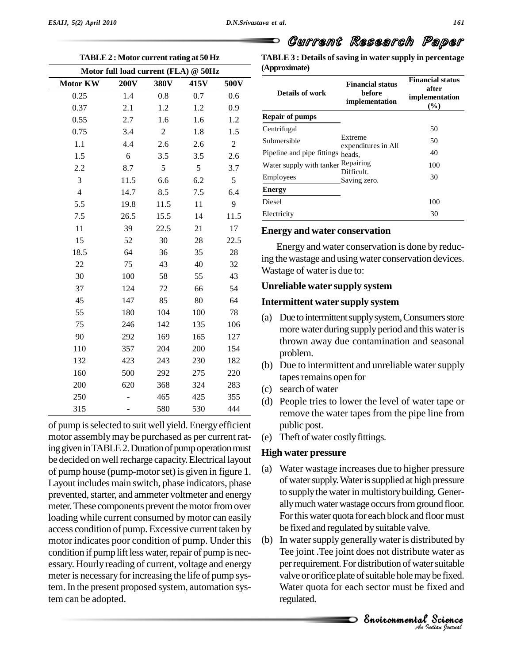| <b>TABLE</b><br>TABLE 2: Motor current rating at 50 Hz |            |      |                |                                      |                 |  |  |  |
|--------------------------------------------------------|------------|------|----------------|--------------------------------------|-----------------|--|--|--|
| (Approx                                                |            |      |                | Motor full load current (FLA) @ 50Hz |                 |  |  |  |
|                                                        | 500V       | 415V | 380V           | <b>200V</b>                          | <b>Motor KW</b> |  |  |  |
| Det                                                    | 0.6        | 0.7  | 0.8            | 1.4                                  | 0.25            |  |  |  |
|                                                        | 0.9        | 1.2  | 1.2            | 2.1                                  | 0.37            |  |  |  |
| Repair                                                 | 1.2        | 1.6  | 1.6            | 2.7                                  | 0.55            |  |  |  |
| Centrifu                                               | 1.5        | 1.8  | $\mathfrak{2}$ | 3.4                                  | 0.75            |  |  |  |
| Submers                                                | $\sqrt{2}$ | 2.6  | 2.6            | 4.4                                  | 1.1             |  |  |  |
| Pipeline                                               | 2.6        | 3.5  | 3.5            | 6                                    | 1.5             |  |  |  |
| Water st                                               | 3.7        | 5    | 5              | 8.7                                  | 2.2             |  |  |  |
| Employe                                                | 5          | 6.2  | 6.6            | 11.5                                 | 3               |  |  |  |
| <b>Energy</b>                                          | 6.4        | 7.5  | 8.5            | 14.7                                 | $\overline{4}$  |  |  |  |
| Diesel                                                 | 9          | 11   | 11.5           | 19.8                                 | 5.5             |  |  |  |
| Electrici                                              | 11.5       | 14   | 15.5           | 26.5                                 | 7.5             |  |  |  |
| <b>Energ</b>                                           | 17         | 21   | 22.5           | 39                                   | 11              |  |  |  |
|                                                        | 22.5       | 28   | 30             | 52                                   | 15              |  |  |  |
| En<br>ing the                                          | 28         | 35   | 36             | 64                                   | 18.5            |  |  |  |
| Wastag                                                 | 32         | 40   | 43             | 75                                   | 22              |  |  |  |
|                                                        | 43         | 55   | 58             | 100                                  | 30              |  |  |  |
| Unreli                                                 | 54         | 66   | 72             | 124                                  | 37              |  |  |  |
| <b>Intern</b>                                          | 64         | 80   | 85             | 147                                  | 45              |  |  |  |
| (a)<br>D <sub>l</sub>                                  | 78         | 100  | 104            | 180                                  | 55              |  |  |  |
| m                                                      | 106        | 135  | 142            | 246                                  | 75              |  |  |  |
| th                                                     | 127        | 165  | 169            | 292                                  | 90              |  |  |  |
| pr                                                     | 154        | 200  | 204            | 357                                  | 110             |  |  |  |
| (b)<br>D <sub>1</sub>                                  | 182        | 230  | 243            | 423                                  | 132             |  |  |  |
| ta                                                     | 220        | 275  | 292            | 500                                  | 160             |  |  |  |
| (c)<br>se                                              | 283        | 324  | 368            | 620                                  | 200             |  |  |  |
| (d)<br>$P\epsilon$                                     | 355        | 425  | 465            |                                      | 250             |  |  |  |
| re                                                     | 444        | 530  | 580            |                                      | 315             |  |  |  |
|                                                        |            |      |                |                                      |                 |  |  |  |

of pump isselected to suit well yield. Energy efficient motor assembly may be purchased as per current rating given in TABLE 2. Duration of pump operation must be decided on well recharge capacity. Electrical layout of pump house (pump-motorset) is given in figure 1. Layout includes main switch, phase indicators, phase prevented, starter, and ammeter voltmeter and energy meter. These components prevent the motor from over loading while current consumed by motor can easily access condition of pump. Excessive current taken by motor indicates poor condition of pump. Under this (b) condition if pump lift less water, repair of pump is necessary. Hourly reading of current, voltage and energy meter is necessary for increasing the life of pump system. In the present proposed system, automation system can be adopted.

**TABLE 3 : Details of saving in water supply in percentage (Approximate)**

Current Research Paper

| Details of work                    | <b>Financial status</b><br>before<br>implementation          | <b>Financial status</b><br>after<br>implementation<br>$(\%)$ |
|------------------------------------|--------------------------------------------------------------|--------------------------------------------------------------|
| <b>Repair of pumps</b>             |                                                              |                                                              |
| Centrifugal                        | Extreme<br>expenditures in All<br>Difficult.<br>Saving zero. | 50                                                           |
| Submersible                        |                                                              | 50                                                           |
| Pipeline and pipe fittings heads,  |                                                              | 40                                                           |
| Water supply with tanker Repairing |                                                              | 100                                                          |
| Employees                          |                                                              | 30                                                           |
| <b>Energy</b>                      |                                                              |                                                              |
| Diesel                             |                                                              | 100                                                          |
| Electricity                        |                                                              | 30                                                           |

#### **Energy and water conservation**

Energy and water conservation is done by reducing the wastage and using water conservation devices. Wastage of water is due to:

# **Unreliable water supply system**

# **Intermittent water supply system**

- (a) Due to intermittent supply system, Consumers store more water during supply period and this water is thrown away due contamination and seasonal problem.
- (b) Due to intermittent and unreliable water supply tapes remains open for
- (c) search of water
- (d) People tries to lower the level of water tape or remove the water tapes from the pipe line from public post.
- (e) Theft of water costly fittings.

# **High water pressure**

- (a) Water wastage increases due to higher pressure of water supply. Water is supplied at high pressure to supply the water in multistory building. Generally much water wastage occurs from ground floor. For this water quota for each block and floor must be fixed and regulated by suitable valve.
- Tee joint .Tee joint does not distribute water as water as<br>
r suitable<br>
be fixed.<br>
ixed and<br>
Science In water supply generally water is distributed by per requirement. For distribution of water suitable valve or orifice plate of suitable hole may be fixed. Water quota for each sector must be fixed and regulated.